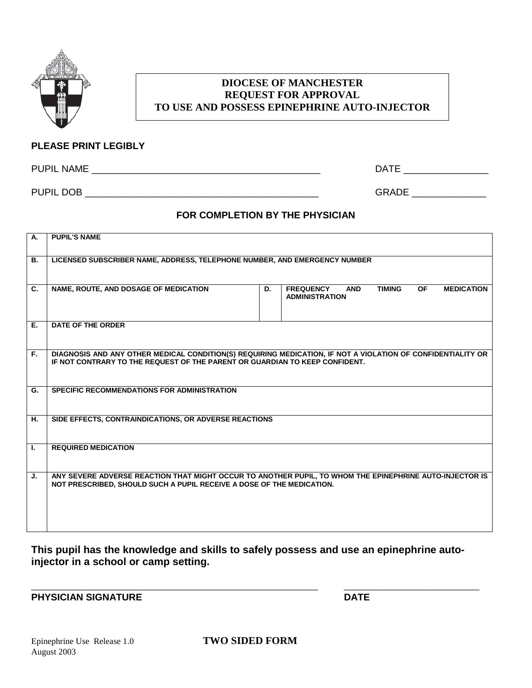

## **DIOCESE OF MANCHESTER REQUEST FOR APPROVAL TO USE AND POSSESS EPINEPHRINE AUTO-INJECTOR**

### **PLEASE PRINT LEGIBLY**

PUPIL NAME \_\_\_\_\_\_\_\_\_\_\_\_\_\_\_\_\_\_\_\_\_\_\_\_\_\_\_\_\_\_\_\_\_\_\_\_\_\_\_\_\_\_\_ DATE \_\_\_\_\_\_\_\_\_\_\_\_\_\_\_\_

PUPIL DOB GRADE GRAM AND THE SERVICE OF STATISTIC AND STATISTIC AND STATISTIC AND STATISTIC AND STATISTIC AND STATISTIC AND STATISTIC AND STATISTIC AND STATISTIC AND STATISTIC AND STATISTIC AND STATISTIC AND STATISTIC AND

## **FOR COMPLETION BY THE PHYSICIAN**

| А. | <b>PUPIL'S NAME</b>                                                                                                                                                                        |  |  |  |  |  |
|----|--------------------------------------------------------------------------------------------------------------------------------------------------------------------------------------------|--|--|--|--|--|
| В. | LICENSED SUBSCRIBER NAME, ADDRESS, TELEPHONE NUMBER, AND EMERGENCY NUMBER                                                                                                                  |  |  |  |  |  |
| C. | NAME, ROUTE, AND DOSAGE OF MEDICATION<br><b>TIMING</b><br><b>FREQUENCY</b><br><b>OF</b><br><b>MEDICATION</b><br>D.<br><b>AND</b><br><b>ADMINISTRATION</b>                                  |  |  |  |  |  |
| Е. | <b>DATE OF THE ORDER</b>                                                                                                                                                                   |  |  |  |  |  |
| F. | DIAGNOSIS AND ANY OTHER MEDICAL CONDITION(S) REQUIRING MEDICATION, IF NOT A VIOLATION OF CONFIDENTIALITY OR<br>IF NOT CONTRARY TO THE REQUEST OF THE PARENT OR GUARDIAN TO KEEP CONFIDENT. |  |  |  |  |  |
| G. | <b>SPECIFIC RECOMMENDATIONS FOR ADMINISTRATION</b>                                                                                                                                         |  |  |  |  |  |
| Н. | SIDE EFFECTS, CONTRAINDICATIONS, OR ADVERSE REACTIONS                                                                                                                                      |  |  |  |  |  |
| L. | <b>REQUIRED MEDICATION</b>                                                                                                                                                                 |  |  |  |  |  |
| J. | ANY SEVERE ADVERSE REACTION THAT MIGHT OCCUR TO ANOTHER PUPIL, TO WHOM THE EPINEPHRINE AUTO-INJECTOR IS<br>NOT PRESCRIBED, SHOULD SUCH A PUPIL RECEIVE A DOSE OF THE MEDICATION.           |  |  |  |  |  |

**This pupil has the knowledge and skills to safely possess and use an epinephrine autoinjector in a school or camp setting.**

\_\_\_\_\_\_\_\_\_\_\_\_\_\_\_\_\_\_\_\_\_\_\_\_\_\_\_\_\_\_\_\_\_\_\_\_\_\_\_\_\_\_\_\_\_\_\_\_\_\_\_\_\_\_\_ \_\_\_\_\_\_\_\_\_\_\_\_\_\_\_\_\_\_\_\_\_\_\_\_\_\_ **PHYSICIAN SIGNATURE DATE**